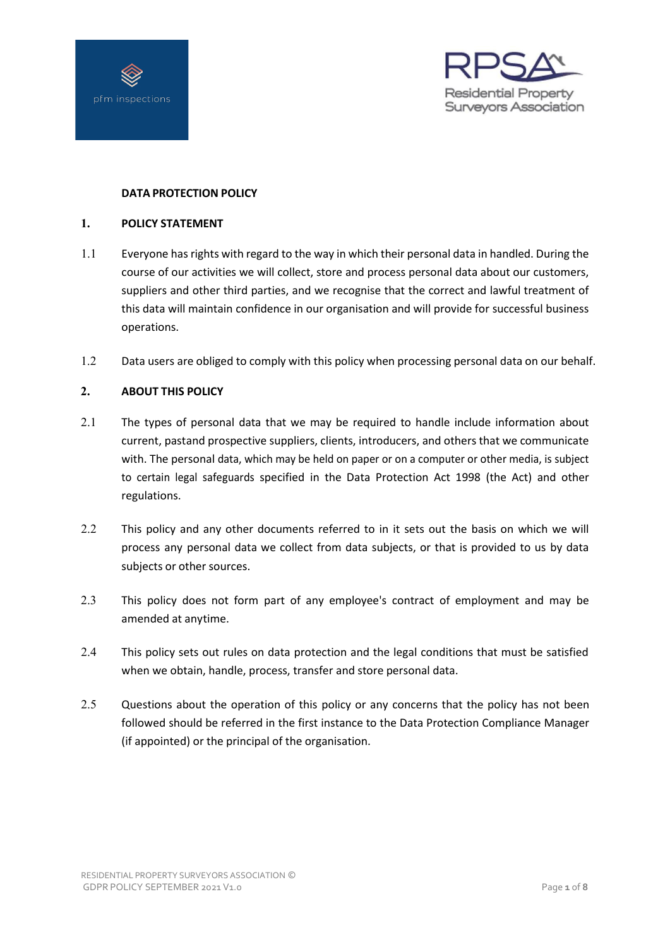



# **DATA PROTECTION POLICY**

# **1. POLICY STATEMENT**

- 1.1 Everyone has rights with regard to the way in which their personal data in handled. During the course of our activities we will collect, store and process personal data about our customers, suppliers and other third parties, and we recognise that the correct and lawful treatment of this data will maintain confidence in our organisation and will provide for successful business operations.
- 1.2 Data users are obliged to comply with this policy when processing personal data on our behalf.

# **2. ABOUT THIS POLICY**

- 2.1 The types of personal data that we may be required to handle include information about current, pastand prospective suppliers, clients, introducers, and others that we communicate with. The personal data, which may be held on paper or on a computer or other media, is subject to certain legal safeguards specified in the Data Protection Act 1998 (the Act) and other regulations.
- 2.2 This policy and any other documents referred to in it sets out the basis on which we will process any personal data we collect from data subjects, or that is provided to us by data subjects or other sources.
- 2.3 This policy does not form part of any employee's contract of employment and may be amended at anytime.
- 2.4 This policy sets out rules on data protection and the legal conditions that must be satisfied when we obtain, handle, process, transfer and store personal data.
- 2.5 Questions about the operation of this policy or any concerns that the policy has not been followed should be referred in the first instance to the Data Protection Compliance Manager (if appointed) or the principal of the organisation.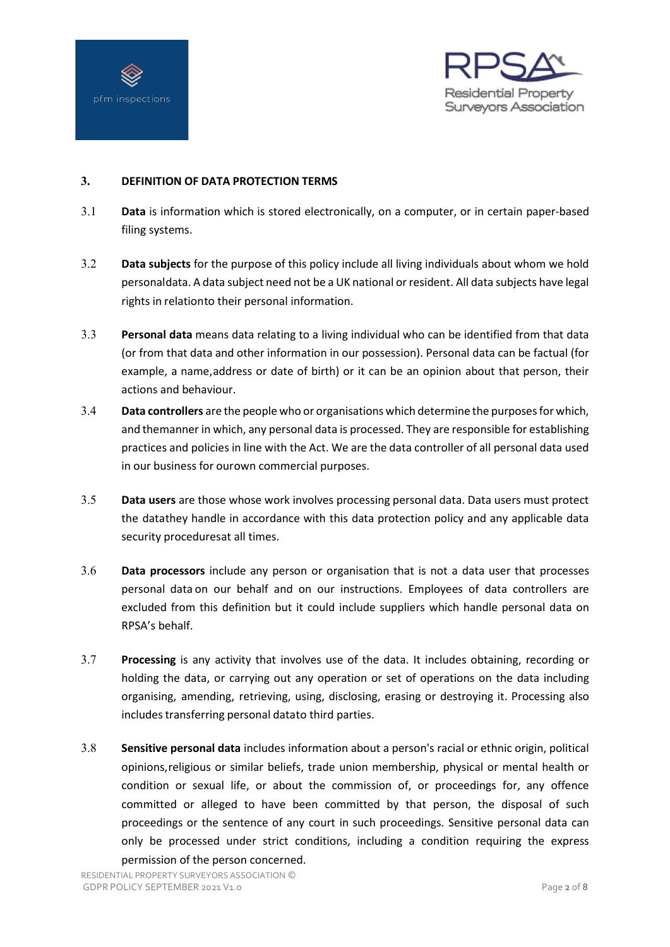



# **3. DEFINITION OF DATA PROTECTION TERMS**

- 3.1 **Data** is information which is stored electronically, on a computer, or in certain paper-based filing systems.
- 3.2 **Data subjects** for the purpose of this policy include all living individuals about whom we hold personaldata. A data subject need not be a UK national orresident. All data subjects have legal rights in relationto their personal information.
- 3.3 **Personal data** means data relating to a living individual who can be identified from that data (or from that data and other information in our possession). Personal data can be factual (for example, a name,address or date of birth) or it can be an opinion about that person, their actions and behaviour.
- 3.4 **Data controllers** are the people who or organisations which determine the purposesfor which, and themanner in which, any personal data is processed. They are responsible for establishing practices and policies in line with the Act. We are the data controller of all personal data used in our business for ourown commercial purposes.
- 3.5 **Data users** are those whose work involves processing personal data. Data users must protect the datathey handle in accordance with this data protection policy and any applicable data security proceduresat all times.
- 3.6 **Data processors** include any person or organisation that is not a data user that processes personal data on our behalf and on our instructions. Employees of data controllers are excluded from this definition but it could include suppliers which handle personal data on RPSA's behalf.
- 3.7 **Processing** is any activity that involves use of the data. It includes obtaining, recording or holding the data, or carrying out any operation or set of operations on the data including organising, amending, retrieving, using, disclosing, erasing or destroying it. Processing also includes transferring personal datato third parties.
- 3.8 **Sensitive personal data** includes information about a person's racial or ethnic origin, political opinions,religious or similar beliefs, trade union membership, physical or mental health or condition or sexual life, or about the commission of, or proceedings for, any offence committed or alleged to have been committed by that person, the disposal of such proceedings or the sentence of any court in such proceedings. Sensitive personal data can only be processed under strict conditions, including a condition requiring the express permission of the person concerned.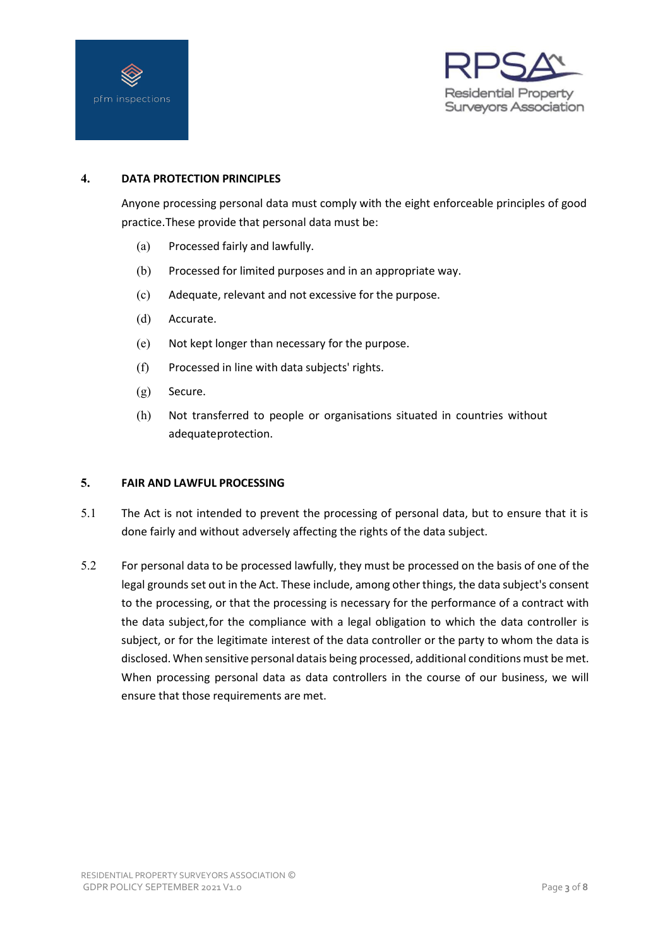



# **4. DATA PROTECTION PRINCIPLES**

Anyone processing personal data must comply with the eight enforceable principles of good practice.These provide that personal data must be:

- (a) Processed fairly and lawfully.
- (b) Processed for limited purposes and in an appropriate way.
- (c) Adequate, relevant and not excessive for the purpose.
- (d) Accurate.
- (e) Not kept longer than necessary for the purpose.
- (f) Processed in line with data subjects' rights.
- (g) Secure.
- (h) Not transferred to people or organisations situated in countries without adequateprotection.

#### **5. FAIR AND LAWFUL PROCESSING**

- 5.1 The Act is not intended to prevent the processing of personal data, but to ensure that it is done fairly and without adversely affecting the rights of the data subject.
- 5.2 For personal data to be processed lawfully, they must be processed on the basis of one of the legal grounds set out in the Act. These include, among other things, the data subject's consent to the processing, or that the processing is necessary for the performance of a contract with the data subject,for the compliance with a legal obligation to which the data controller is subject, or for the legitimate interest of the data controller or the party to whom the data is disclosed. When sensitive personal datais being processed, additional conditions must be met. When processing personal data as data controllers in the course of our business, we will ensure that those requirements are met.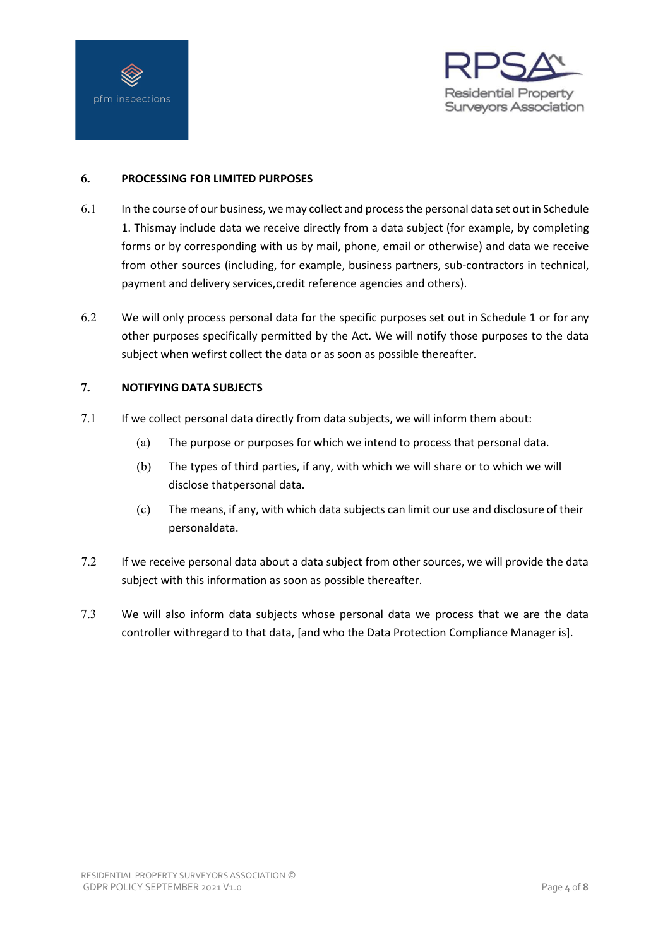



# **6. PROCESSING FOR LIMITED PURPOSES**

- 6.1 In the course of our business, we may collect and process the personal data set out in Schedule 1. Thismay include data we receive directly from a data subject (for example, by completing forms or by corresponding with us by mail, phone, email or otherwise) and data we receive from other sources (including, for example, business partners, sub-contractors in technical, payment and delivery services,credit reference agencies and others).
- 6.2 We will only process personal data for the specific purposes set out in Schedule 1 or for any other purposes specifically permitted by the Act. We will notify those purposes to the data subject when wefirst collect the data or as soon as possible thereafter.

# **7. NOTIFYING DATA SUBJECTS**

- 7.1 If we collect personal data directly from data subjects, we will inform them about:
	- (a) The purpose or purposes for which we intend to process that personal data.
	- (b) The types of third parties, if any, with which we will share or to which we will disclose thatpersonal data.
	- (c) The means, if any, with which data subjects can limit our use and disclosure of their personaldata.
- 7.2 If we receive personal data about a data subject from other sources, we will provide the data subject with this information as soon as possible thereafter.
- 7.3 We will also inform data subjects whose personal data we process that we are the data controller withregard to that data, [and who the Data Protection Compliance Manager is].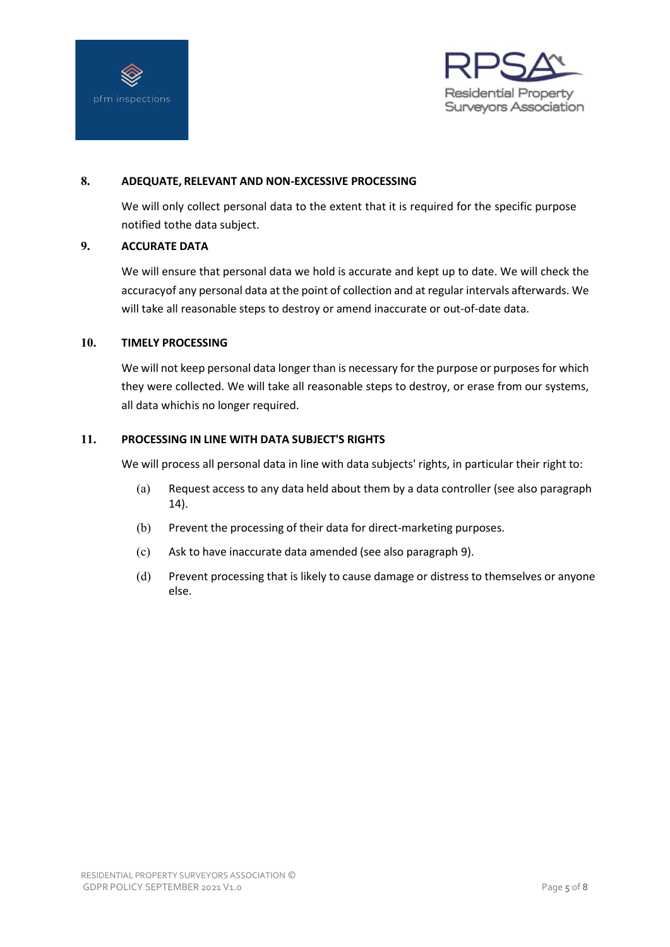



### **8. ADEQUATE, RELEVANT AND NON-EXCESSIVE PROCESSING**

We will only collect personal data to the extent that it is required for the specific purpose notified tothe data subject.

# <span id="page-4-0"></span>**9. ACCURATE DATA**

We will ensure that personal data we hold is accurate and kept up to date. We will check the accuracyof any personal data at the point of collection and at regular intervals afterwards. We will take all reasonable steps to destroy or amend inaccurate or out-of-date data.

#### **10. TIMELY PROCESSING**

We will not keep personal data longer than is necessary for the purpose or purposes for which they were collected. We will take all reasonable steps to destroy, or erase from our systems, all data whichis no longer required.

#### **11. PROCESSING IN LINE WITH DATA SUBJECT'S RIGHTS**

We will process all personal data in line with data subjects' rights, in particular their right to:

- (a) Request access to any data held about them by a data controller (see also paragraph [14\)](#page-7-0).
- (b) Prevent the processing of their data for direct-marketing purposes.
- (c) Ask to have inaccurate data amended (see also paragraph [9\)](#page-4-0).
- (d) Prevent processing that is likely to cause damage or distress to themselves or anyone else.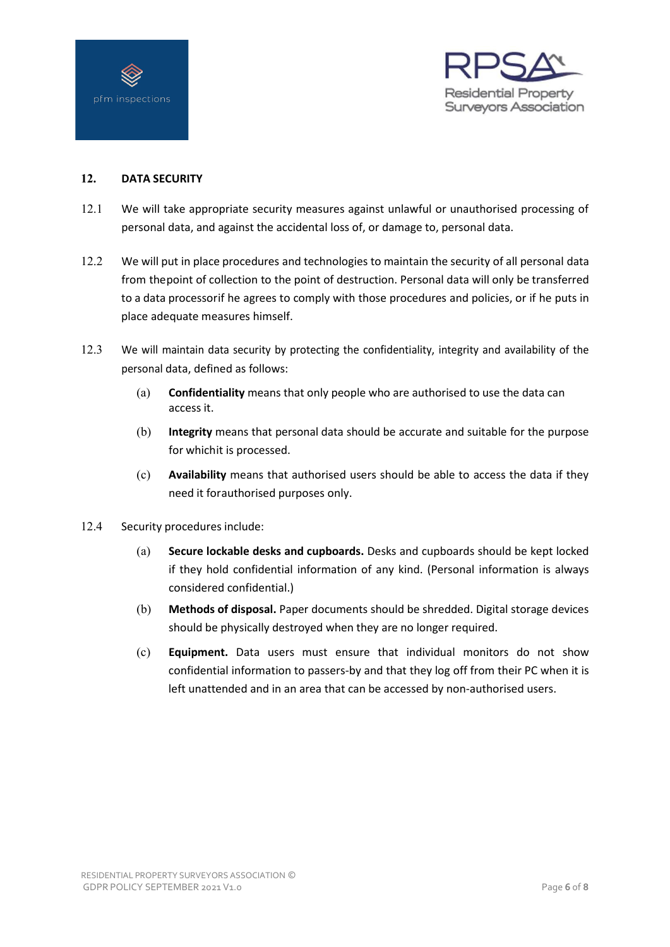



# **12. DATA SECURITY**

- 12.1 We will take appropriate security measures against unlawful or unauthorised processing of personal data, and against the accidental loss of, or damage to, personal data.
- 12.2 We will put in place procedures and technologies to maintain the security of all personal data from thepoint of collection to the point of destruction. Personal data will only be transferred to a data processorif he agrees to comply with those procedures and policies, or if he puts in place adequate measures himself.
- 12.3 We will maintain data security by protecting the confidentiality, integrity and availability of the personal data, defined as follows:
	- (a) **Confidentiality** means that only people who are authorised to use the data can access it.
	- (b) **Integrity** means that personal data should be accurate and suitable for the purpose for whichit is processed.
	- (c) **Availability** means that authorised users should be able to access the data if they need it forauthorised purposes only.
- 12.4 Security procedures include:
	- (a) **Secure lockable desks and cupboards.** Desks and cupboards should be kept locked if they hold confidential information of any kind. (Personal information is always considered confidential.)
	- (b) **Methods of disposal.** Paper documents should be shredded. Digital storage devices should be physically destroyed when they are no longer required.
	- (c) **Equipment.** Data users must ensure that individual monitors do not show confidential information to passers-by and that they log off from their PC when it is left unattended and in an area that can be accessed by non-authorised users.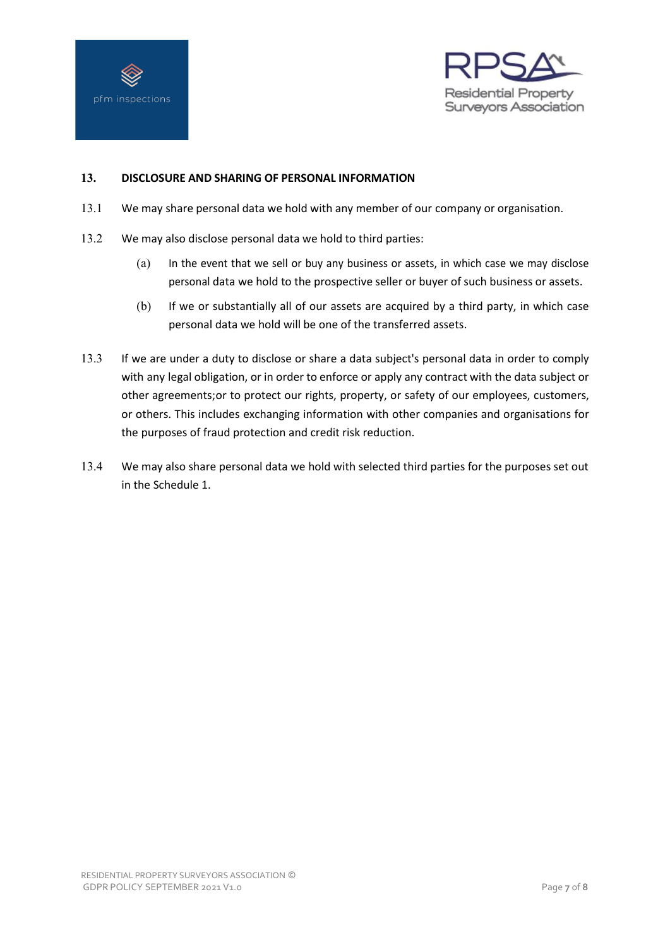



# **13. DISCLOSURE AND SHARING OF PERSONAL INFORMATION**

- 13.1 We may share personal data we hold with any member of our company or organisation.
- 13.2 We may also disclose personal data we hold to third parties:
	- (a) In the event that we sell or buy any business or assets, in which case we may disclose personal data we hold to the prospective seller or buyer of such business or assets.
	- (b) If we or substantially all of our assets are acquired by a third party, in which case personal data we hold will be one of the transferred assets.
- 13.3 If we are under a duty to disclose or share a data subject's personal data in order to comply with any legal obligation, or in order to enforce or apply any contract with the data subject or other agreements;or to protect our rights, property, or safety of our employees, customers, or others. This includes exchanging information with other companies and organisations for the purposes of fraud protection and credit risk reduction.
- 13.4 We may also share personal data we hold with selected third parties for the purposes set out in the Schedule 1.